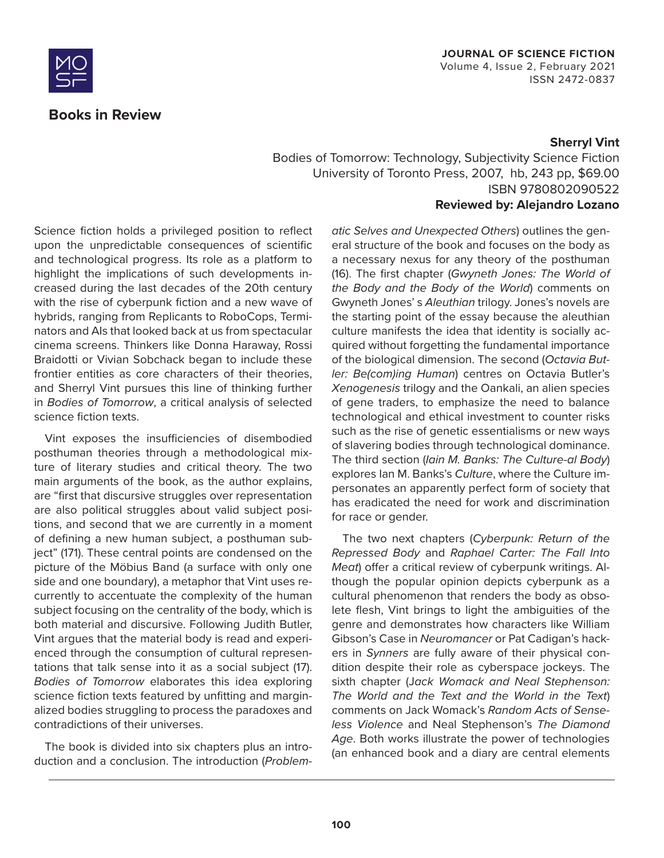

# **Books in Review**

# **JOURNAL OF SCIENCE FICTION**

Volume 4, Issue 2, February 2021 ISSN 2472-0837

### **Sherryl Vint**

Bodies of Tomorrow: Technology, Subjectivity Science Fiction University of Toronto Press, 2007, hb, 243 pp, \$69.00 ISBN 9780802090522

#### **Reviewed by: Alejandro Lozano**

Science fiction holds a privileged position to reflect upon the unpredictable consequences of scientific and technological progress. Its role as a platform to highlight the implications of such developments increased during the last decades of the 20th century with the rise of cyberpunk fiction and a new wave of hybrids, ranging from Replicants to RoboCops, Terminators and AIs that looked back at us from spectacular cinema screens. Thinkers like Donna Haraway, Rossi Braidotti or Vivian Sobchack began to include these frontier entities as core characters of their theories, and Sherryl Vint pursues this line of thinking further in *Bodies of Tomorrow*, a critical analysis of selected science fiction texts.

Vint exposes the insufficiencies of disembodied posthuman theories through a methodological mixture of literary studies and critical theory. The two main arguments of the book, as the author explains, are "first that discursive struggles over representation are also political struggles about valid subject positions, and second that we are currently in a moment of defining a new human subject, a posthuman subject" (171). These central points are condensed on the picture of the Möbius Band (a surface with only one side and one boundary), a metaphor that Vint uses recurrently to accentuate the complexity of the human subject focusing on the centrality of the body, which is both material and discursive. Following Judith Butler, Vint argues that the material body is read and experienced through the consumption of cultural representations that talk sense into it as a social subject (17). *Bodies of Tomorrow* elaborates this idea exploring science fiction texts featured by unfitting and marginalized bodies struggling to process the paradoxes and contradictions of their universes.

The book is divided into six chapters plus an introduction and a conclusion. The introduction (*Problem-* *atic Selves and Unexpected Others*) outlines the general structure of the book and focuses on the body as a necessary nexus for any theory of the posthuman (16). The first chapter (*Gwyneth Jones: The World of the Body and the Body of the World*) comments on Gwyneth Jones' s *Aleuthian* trilogy. Jones's novels are the starting point of the essay because the aleuthian culture manifests the idea that identity is socially acquired without forgetting the fundamental importance of the biological dimension. The second (*Octavia Butler: Be(com)ing Human*) centres on Octavia Butler's *Xenogenesis* trilogy and the Oankali, an alien species of gene traders, to emphasize the need to balance technological and ethical investment to counter risks such as the rise of genetic essentialisms or new ways of slavering bodies through technological dominance. The third section (*Iain M. Banks: The Culture-al Body*) explores Ian M. Banks's *Culture*, where the Culture impersonates an apparently perfect form of society that has eradicated the need for work and discrimination for race or gender.

The two next chapters (*Cyberpunk: Return of the Repressed Body* and *Raphael Carter: The Fall Into Meat*) offer a critical review of cyberpunk writings. Although the popular opinion depicts cyberpunk as a cultural phenomenon that renders the body as obsolete flesh, Vint brings to light the ambiguities of the genre and demonstrates how characters like William Gibson's Case in *Neuromancer* or Pat Cadigan's hackers in *Synners* are fully aware of their physical condition despite their role as cyberspace jockeys. The sixth chapter (J*ack Womack and Neal Stephenson: The World and the Text and the World in the Text*) comments on Jack Womack's *Random Acts of Senseless Violence* and Neal Stephenson's *The Diamond Age*. Both works illustrate the power of technologies (an enhanced book and a diary are central elements